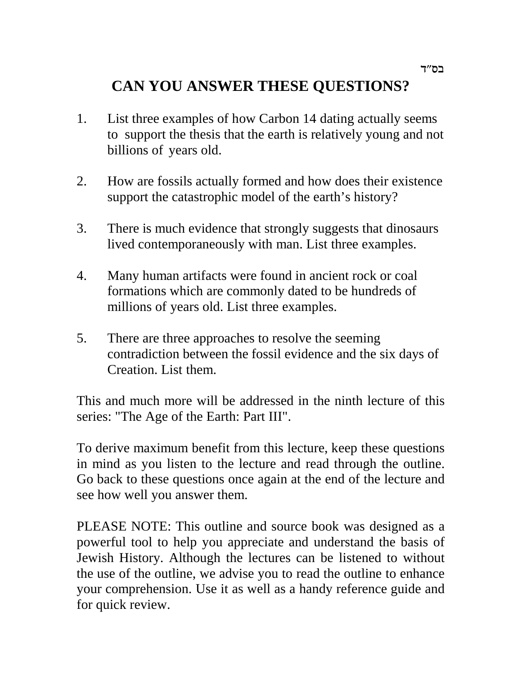# **CAN YOU ANSWER THESE QUESTIONS?**

- 1. List three examples of how Carbon 14 dating actually seems to support the thesis that the earth is relatively young and not billions of years old.
- 2. How are fossils actually formed and how does their existence support the catastrophic model of the earth's history?
- 3. There is much evidence that strongly suggests that dinosaurs lived contemporaneously with man. List three examples.
- 4. Many human artifacts were found in ancient rock or coal formations which are commonly dated to be hundreds of millions of years old. List three examples.
- 5. There are three approaches to resolve the seeming contradiction between the fossil evidence and the six days of Creation. List them.

This and much more will be addressed in the ninth lecture of this series: "The Age of the Earth: Part III".

To derive maximum benefit from this lecture, keep these questions in mind as you listen to the lecture and read through the outline. Go back to these questions once again at the end of the lecture and see how well you answer them.

PLEASE NOTE: This outline and source book was designed as a powerful tool to help you appreciate and understand the basis of Jewish History. Although the lectures can be listened to without the use of the outline, we advise you to read the outline to enhance your comprehension. Use it as well as a handy reference guide and for quick review.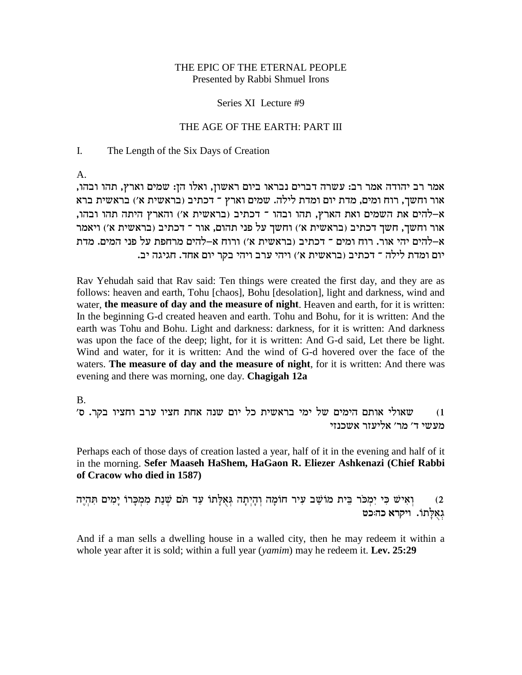## THE EPIC OF THE ETERNAL PEOPLE Presented by Rabbi Shmuel Irons

### Series XI Lecture #9

## THE AGE OF THE EARTH: PART III

#### The Length of the Six Days of Creation I.

A.

,אמר רב יהודה אמר רב: עשרה דברים נבראו ביום ראשון, ואלו הן: שמים וארץ, תהו ובהו אור וחשך, רוח ומים, מדת יום ומדת לילה. שמים וארץ ־ דכתיב (בראשית א׳) בראשית ברא ,<br>א–להים את השמים ואת הארץ, תהו ובהו ־ דכתיב (בראשית א׳) והארץ היתה תהו ובהו אור וחשך, חשך דכתיב (בראשית א') וחשך על פני תהום, אור ־ דכתיב (בראשית א') ויאמר x–להים יהי אור. רוח ומים ־ דכתיב (בראשית א׳) ורוח א–להים מרחפת על פני המים. מדת יום ומדת לילה ־ דכתיב (בראשית א׳) ויהי ערב ויהי בקר יום אחד. חגיגה יב.

Rav Yehudah said that Rav said: Ten things were created the first day, and they are as follows: heaven and earth, Tohu [chaos], Bohu [desolation], light and darkness, wind and water, **the measure of day and the measure of night**. Heaven and earth, for it is written: In the beginning G-d created heaven and earth. Tohu and Bohu, for it is written: And the earth was Tohu and Bohu. Light and darkness: darkness, for it is written: And darkness was upon the face of the deep; light, for it is written: And G-d said, Let there be light. Wind and water, for it is written: And the wind of G-d hovered over the face of the waters. **The measure of day and the measure of night**, for it is written: And there was evening and there was morning, one day. **Chagigah 12a**

### B.

') שאולי אותם הימים של ימי בראשית כל יום שנה אחת חציו ערב וחציו בקר. ס מעשי ד' מר' אליעזר אשכנזי

Perhaps each of those days of creation lasted a year, half of it in the evening and half of it in the morning. **Sefer Maaseh HaShem, HaGaon R. Eliezer Ashkenazi (Chief Rabbi of Cracow who died in 1587)**

וְאִישׁ כִּי יִמְכֹּר בֵּית מוֹשֵׁב עִיר חוֹמָה וְהָיִתָה גִּאָלָתוֹ עַד תֹּם שִׁנַת מִמְכָּרוֹ יַמִים תְּהִיֵה **גאלתו.** ויקרא כה:כט

And if a man sells a dwelling house in a walled city, then he may redeem it within a whole year after it is sold; within a full year (*yamim*) may he redeem it. **Lev. 25:29**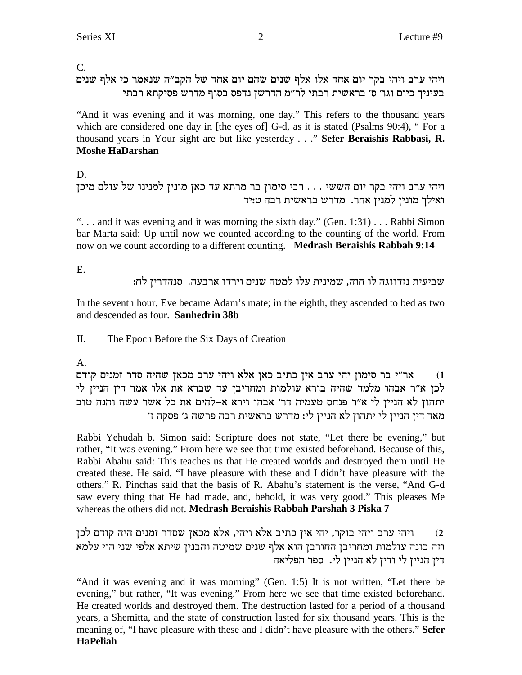$\overline{C}$ .

## ויהי ערב ויהי בקר יום אחד אלו אלף שנים שהם יום אחד של הקב"ה שנאמר כי אלף שנים בעיניך כיום וגו' ס' בראשית רבתי לר"מ הדרשן נדפס בסוף מדרש פסיקתא רבתי

"And it was evening and it was morning, one day." This refers to the thousand years which are considered one day in [the eyes of] G-d, as it is stated (Psalms 90:4), "For a thousand years in Your sight are but like yesterday . . ." Sefer Beraishis Rabbasi, R. **Moshe HaDarshan** 

D.

```
ויהי ערב ויהי בקר יום הששי . . . רבי סימון בר מרתא עד כאן מונין למנינו של עולם מיכן
                         ואילך מונין למנין אחר. מדרש בראשית רבה ט:יד
```
"... and it was evening and it was morning the sixth day." (Gen. 1:31) ... Rabbi Simon bar Marta said: Up until now we counted according to the counting of the world. From now on we count according to a different counting. Medrash Beraishis Rabbah 9:14

Ε.

שביעית נזדווגה לו חוה, שמינית עלו למטה שנים וירדו ארבעה. סנהדרין לח:

In the seventh hour, Eve became Adam's mate; in the eighth, they ascended to bed as two and descended as four. Sanhedrin 38b

 $\Pi$ . The Epoch Before the Six Days of Creation

## $A<sub>1</sub>$

אר״י בר סימון יהי ערב אין כתיב כאן אלא ויהי ערב מכאן שהיה סדר זמנים קודם  $(1)$ לכן א״ר אבהו מלמד שהיה בורא עולמות ומחריבן עד שברא את אלו אמר דין הניין לי יתהון לא הניין לי א״ר פנחס טעמיה דר׳ אבהו וירא א–להים את כל אשר עשה והנה טוב מאד דין הניין לי יתהון לא הניין לי: מדרש בראשית רבה פרשה ג׳ פסקה ז׳

Rabbi Yehudah b. Simon said: Scripture does not state, "Let there be evening," but rather, "It was evening." From here we see that time existed beforehand. Because of this, Rabbi Abahu said: This teaches us that He created worlds and destroyed them until He created these. He said, "I have pleasure with these and I didn't have pleasure with the others." R. Pinchas said that the basis of R. Abahu's statement is the verse, "And G-d" saw every thing that He had made, and, behold, it was very good." This pleases Me whereas the others did not. Medrash Beraishis Rabbah Parshah 3 Piska 7

ויהי ערב ויהי בוקר, יהי אין כתיב אלא ויהי, אלא מכאן שסדר זמנים היה קודם לכן  $(2)$ וזה בונה עולמות ומחריבן החורבן הוא אלף שנים שמיטה והבנין שיתא אלפי שני הוי עלמא דין הניין לי ודין לא הניין לי. ספר הפליאה

"And it was evening and it was morning" (Gen. 1:5) It is not written, "Let there be evening," but rather, "It was evening." From here we see that time existed beforehand. He created worlds and destroyed them. The destruction lasted for a period of a thousand years, a Shemitta, and the state of construction lasted for six thousand years. This is the meaning of, "I have pleasure with these and I didn't have pleasure with the others." Sefer **HaPeliah**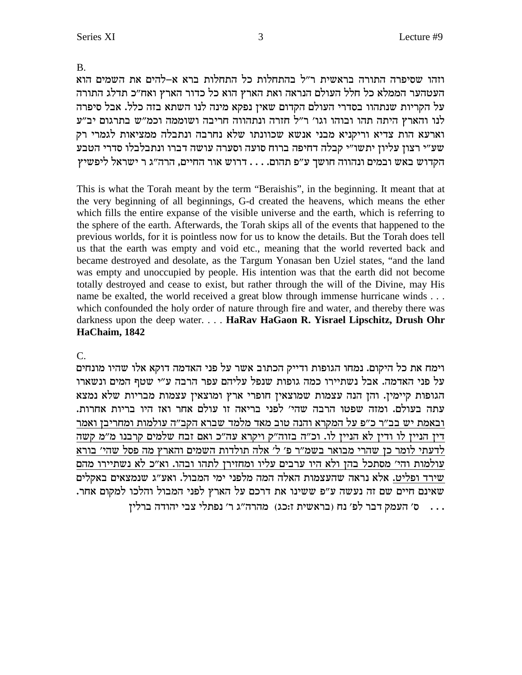$C_{\cdot}$ וימח את כל היקום. נמחו הגופות ודייק הכתוב אשר על פני האדמה דוקא אלו שהיו מונחים על פני האדמה. אבל נשתיירו כמה גופות שנפל עליהם עפר הרבה ע״י שטף המים ונשארו הגופות קיימין. והן הנה עצמות שמוצאין חופרי ארץ ומוצאין עצמות מבריות שלא נמצא עתה בעולם. ומזה שפטו הרבה שהי׳ לפני בריאה זו עולם אחר ואז היו בריות אחרות. ובאמת יש בב״ר כ״פ על המקרא והנה טוב מאד מלמד שברא הקב״ה עולמות ומחריבן ואמר דין הניין לו ודין לא הניין לו. וכ"ה בזוה"ק ויקרא עה"כ ואם זבח שלמים קרבנו מ"מ קשה לדעתי לומר כן שהרי מבואר בשמ״ר פ׳ ל׳ אלה תולדות השמים והארץ מה פסל שהי׳ בורא עולמות והי׳ מסתכל בהן ולא היו ערבים עליו ומחזירן לתהו ובהו. וא״כ לא נשתיירו מהם שירד ופליט. אלא נראה שהעצמות האלה המה מלפני ימי המבול. ואע"ג שנמצאים באקלים שאינם חיים שם זה נעשה ע"פ ששינו את דרכם על הארץ לפני המבול והלכו למקום אחר. 

## HaChaim, 1842

This is what the Torah meant by the term "Beraishis", in the beginning. It meant that at the very beginning of all beginnings, G-d created the heavens, which means the ether which fills the entire expanse of the visible universe and the earth, which is referring to the sphere of the earth. Afterwards, the Torah skips all of the events that happened to the previous worlds, for it is pointless now for us to know the details. But the Torah does tell us that the earth was empty and void etc., meaning that the world reverted back and became destroyed and desolate, as the Targum Yonasan ben Uziel states, "and the land was empty and unoccupied by people. His intention was that the earth did not become totally destroyed and cease to exist, but rather through the will of the Divine, may His name be exalted, the world received a great blow through immense hurricane winds . . . which confounded the holy order of nature through fire and water, and thereby there was darkness upon the deep water.... HaRav HaGaon R. Yisrael Lipschitz, Drush Ohr

וזהו שסיפרה התורה בראשית ר"ל בהתחלות כל התחלות ברא א–להים את השמים הוא העטהער הממלא כל חלל העולם הנראה ואת הארץ הוא כל כדור הארץ ואח״כ תדלג התורה על הקריות שנתהוו בסדרי העולם הקדום שאין נפקא מינה לנו השתא בזה כלל. אבל סיפרה לנו והארץ היתה תהו ובוהו וגו׳ ר״ל חזרה ונתהווה חריבה ושוממה וכמ״ש בתרגום יב״ע וארעא הות צדיא וריקניא מבני אנשא שכוונתו שלא נחרבה ונתבלה ממציאות לגמרי רק שע״י רצון עליון יתשו״י קבלה דחיפה ברוח סועה וסערה עושה דברו ונתבלבלו סדרי הטבע הקדוש באש ובמים ונהווה חושך ע"פ תהום. . . . דרוש אור החיים, הרה"ג ר $v$ יאל ליפשיץ

 $\mathbf{B}$ .